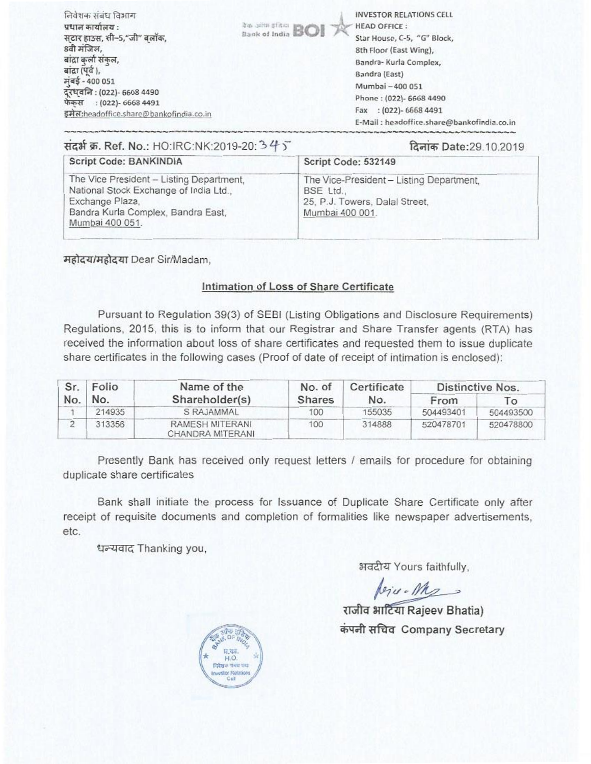| निवेशक संबंध विभाग<br>BOI <sup>26</sup> Jim pfast <b>BOI</b><br>प्रधान कार्यालय :<br>सटार हाउस, सी–5,"जी" बलॉक,<br>8वी मंजिल,<br>बाद्रा कर्ला संकल,<br>बांद्रा (पूर्व ),<br>मंबई - 400 051<br>दरधवनि: (022)- 6668 4490<br>फेक्स: (022)- 6668 4491<br>इमेल:headoffice.share@bankofindia.co.in | <b>INVESTOR RELATIONS CELL</b><br><b>HEAD OFFICE:</b><br>Star House, C-5, "G" Block,<br>8th Floor (East Wing),<br>Bandra- Kurla Complex,<br>Bandra (East)<br>Mumbai - 400 051<br>Phone: (022)- 6668 4490<br>Fax : (022)-6668 4491<br>E-Mail: headoffice.share@bankofindia.co.in |
|----------------------------------------------------------------------------------------------------------------------------------------------------------------------------------------------------------------------------------------------------------------------------------------------|---------------------------------------------------------------------------------------------------------------------------------------------------------------------------------------------------------------------------------------------------------------------------------|
|----------------------------------------------------------------------------------------------------------------------------------------------------------------------------------------------------------------------------------------------------------------------------------------------|---------------------------------------------------------------------------------------------------------------------------------------------------------------------------------------------------------------------------------------------------------------------------------|

| दिनाक Date:29.10.2019                                                      |  |  |
|----------------------------------------------------------------------------|--|--|
| Script Code: 532149                                                        |  |  |
| The Vice-President - Listing Department,<br>25, P.J. Towers, Dalal Street, |  |  |
|                                                                            |  |  |

महोदय/महोदया Dear Sir/Madam,

## **Intimation of Loss of Share Certificate**

Pursuant to Regulation 39(3) of SEBI (Listing Obligations and Disclosure Requirements) Regulations, 2015, this is to inform that our Registrar and Share Transfer agents (RTA) has received the information about loss of share certificates and requested them to issue duplicate share certificates in the following cases (Proof of date of receipt of intimation is enclosed):

| Sr. | Folio  | Name of the                         | No. of        | Certificate | Distinctive Nos. |           |
|-----|--------|-------------------------------------|---------------|-------------|------------------|-----------|
| No. | No.    | Shareholder(s)                      | <b>Shares</b> | No.         | From             | ĪΟ        |
|     | 214935 | S RAJAMMAL                          | 100           | 155035      | 504493401        | 504493500 |
|     | 313356 | RAMESH MITERANI<br>CHANDRA MITERANI | 100           | 314888      | 520478701        | 520478800 |

Presently Bank has received only request letters / emails for procedure for obtaining duplicate share certificates

Bank shall initiate the process for Issuance of Duplicate Share Certificate only after receipt of requisite documents and completion of formalities like newspaper advertisements, etc.

धन्यवाद Thanking you,

अवदीय Yours faithfully,

feru. Mes

राजीव भाटिया Rajeev Bhatia) कंपनी सचिव Company Secretary

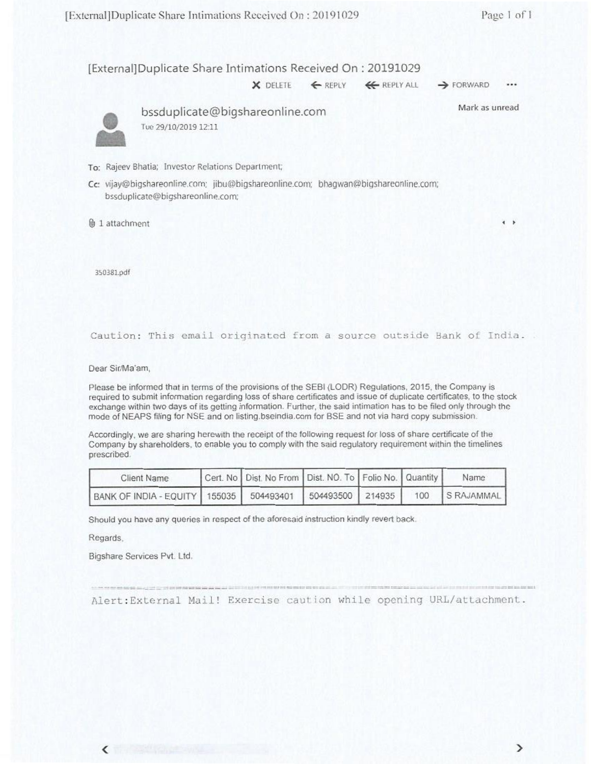## [External]Duplicate Share Intimations Received On: 20191029

 $\times$  DELETE  $\leftarrow$  REPLY  $\leftarrow$  REPLY ALL  $\rightarrow$  FORWARD

...

Mark as unread



• bssduplicate@bigshareonline.com Iue 29/10/2019 12:11

- To: Rajeev Bhatia; Investor Relations Department;
- Cc: vijay@bigshareonline.com; jibu@bigshareonline.com; bhagwan@bigshareonline.com; bssduplicate@bigshareoniine.com;

0.3 1 attachment *<sup>4</sup> •* 

350381pdf

## Caution: This email originated from a source outside Bank of India.

Dear Sir/Ma'am,

Please be informed that in terms of the provisions of the SEBI (LODR) Regulations, 2015. the Company is required to submit information regarding loss of share certificates and issue of duplicate certificates, to the stock exchange within two days of its getting information. Further, the said intimation has to be filed only through the mode of NEAPS filing for NSE and on listing,bseindia.com for BSE and not via hard copy submission

Accordingly, we are sharing herewith the receipt of the following request for loss of share certificate of the Company by shareholders. to enable you to comply with the said regulatory requirement within the timelines prescribed.

| Client Name                                 | Cert. No Dist. No From Dist. NO. To Folio No. Quantity |                  |  | Name             |
|---------------------------------------------|--------------------------------------------------------|------------------|--|------------------|
| BANK OF INDIA - EQUITY   155035   504493401 |                                                        | 504493500 214935 |  | 100   S RAJAMMAL |

Should you have any queries in respect of the aforesaid instruction kindly revert back.

Regards.

 $\overline{\phantom{a}}$ 

Bigshare Services Pvt. Ltd.

Alert:External Mail! Exercise caution while opening URL/atLachment.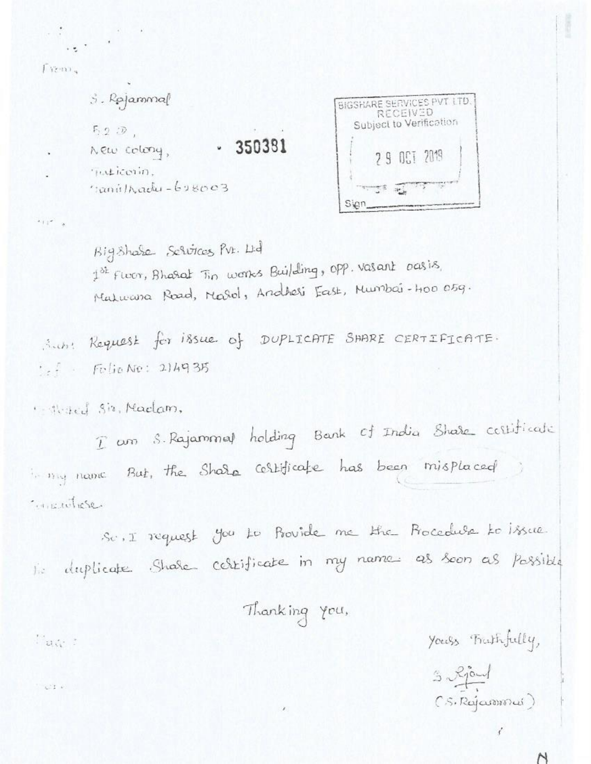$F$ renn

 $11 - 8$ 

공항 시험 이 사람들이 아니다.  $\mathbb{Z}_2$  ,  $\mathbb{Z}_2$ 

> $3.$  Rajammal BIGSHARE SERVICES PVT LTD. **RECEIVED** Subject to Verification  $5.2 \nD$ .  $-350381$ New colony, 29 061 2019 Tuesicosin.  $rank1 - k$ 38003 **THE STATE** Sign.

Big Share Services Pvr. Ltd 1st Floor, Bharat Tin works Building, opp. vasant oasis, Matuana Road, Marol, Andheri East, Mumbai-Hoo 05g.

Subst Request for issue of DUPLICATE SAARE CERTIFICATE.  $1 - f$  Folio No: 214935

Altrad Siz, Madam,

I am S. Rajammed holding Bank of India Share certificate in my name But, the Share certificate has been misplaced Constitute

Sc. I request you to Provide me the Procedule to issue. lis duplicate Share certificate in my names as soon as possible

Thanking you,

់ ដល់ ៖

COL 61

Yours Frathfully,

 $(S, Rajamma)$ 

N

 $3\sqrt{30}$